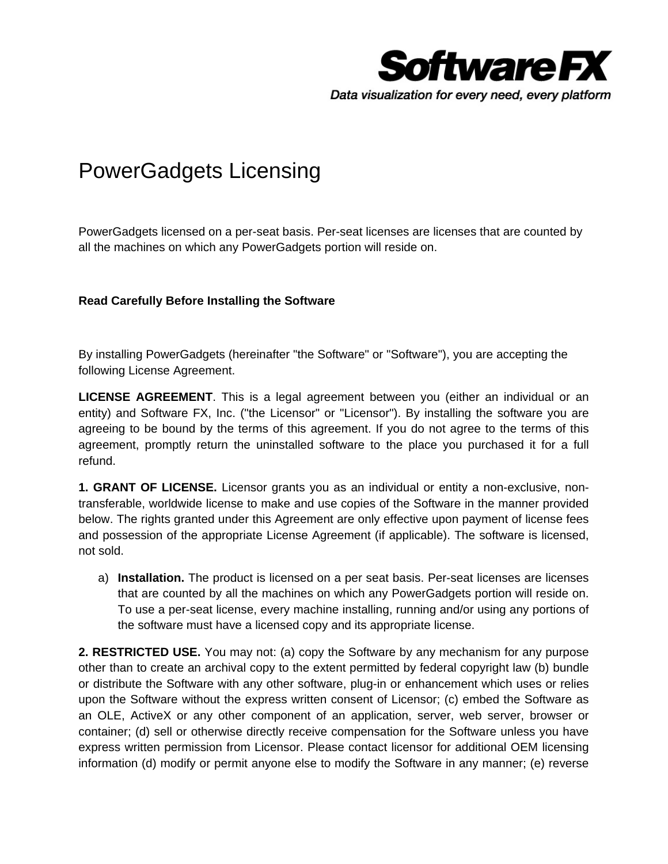

## PowerGadgets Licensing

PowerGadgets licensed on a per-seat basis. Per-seat licenses are licenses that are counted by all the machines on which any PowerGadgets portion will reside on.

## **Read Carefully Before Installing the Software**

By installing PowerGadgets (hereinafter "the Software" or "Software"), you are accepting the following License Agreement.

**LICENSE AGREEMENT**. This is a legal agreement between you (either an individual or an entity) and Software FX, Inc. ("the Licensor" or "Licensor"). By installing the software you are agreeing to be bound by the terms of this agreement. If you do not agree to the terms of this agreement, promptly return the uninstalled software to the place you purchased it for a full refund.

**1. GRANT OF LICENSE.** Licensor grants you as an individual or entity a non-exclusive, nontransferable, worldwide license to make and use copies of the Software in the manner provided below. The rights granted under this Agreement are only effective upon payment of license fees and possession of the appropriate License Agreement (if applicable). The software is licensed, not sold.

a) **Installation.** The product is licensed on a per seat basis. Per-seat licenses are licenses that are counted by all the machines on which any PowerGadgets portion will reside on. To use a per-seat license, every machine installing, running and/or using any portions of the software must have a licensed copy and its appropriate license.

**2. RESTRICTED USE.** You may not: (a) copy the Software by any mechanism for any purpose other than to create an archival copy to the extent permitted by federal copyright law (b) bundle or distribute the Software with any other software, plug-in or enhancement which uses or relies upon the Software without the express written consent of Licensor; (c) embed the Software as an OLE, ActiveX or any other component of an application, server, web server, browser or container; (d) sell or otherwise directly receive compensation for the Software unless you have express written permission from Licensor. Please contact licensor for additional OEM licensing information (d) modify or permit anyone else to modify the Software in any manner; (e) reverse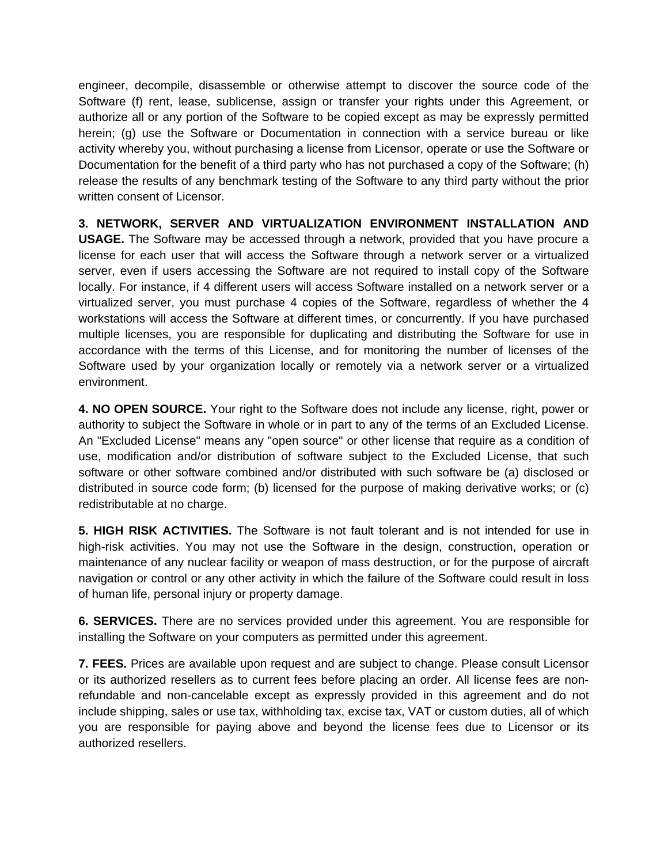engineer, decompile, disassemble or otherwise attempt to discover the source code of the Software (f) rent, lease, sublicense, assign or transfer your rights under this Agreement, or authorize all or any portion of the Software to be copied except as may be expressly permitted herein; (g) use the Software or Documentation in connection with a service bureau or like activity whereby you, without purchasing a license from Licensor, operate or use the Software or Documentation for the benefit of a third party who has not purchased a copy of the Software; (h) release the results of any benchmark testing of the Software to any third party without the prior written consent of Licensor.

**3. NETWORK, SERVER AND VIRTUALIZATION ENVIRONMENT INSTALLATION AND USAGE.** The Software may be accessed through a network, provided that you have procure a license for each user that will access the Software through a network server or a virtualized server, even if users accessing the Software are not required to install copy of the Software locally. For instance, if 4 different users will access Software installed on a network server or a virtualized server, you must purchase 4 copies of the Software, regardless of whether the 4 workstations will access the Software at different times, or concurrently. If you have purchased multiple licenses, you are responsible for duplicating and distributing the Software for use in accordance with the terms of this License, and for monitoring the number of licenses of the Software used by your organization locally or remotely via a network server or a virtualized environment.

**4. NO OPEN SOURCE.** Your right to the Software does not include any license, right, power or authority to subject the Software in whole or in part to any of the terms of an Excluded License. An "Excluded License" means any "open source" or other license that require as a condition of use, modification and/or distribution of software subject to the Excluded License, that such software or other software combined and/or distributed with such software be (a) disclosed or distributed in source code form; (b) licensed for the purpose of making derivative works; or (c) redistributable at no charge.

**5. HIGH RISK ACTIVITIES.** The Software is not fault tolerant and is not intended for use in high-risk activities. You may not use the Software in the design, construction, operation or maintenance of any nuclear facility or weapon of mass destruction, or for the purpose of aircraft navigation or control or any other activity in which the failure of the Software could result in loss of human life, personal injury or property damage.

**6. SERVICES.** There are no services provided under this agreement. You are responsible for installing the Software on your computers as permitted under this agreement.

**7. FEES.** Prices are available upon request and are subject to change. Please consult Licensor or its authorized resellers as to current fees before placing an order. All license fees are nonrefundable and non-cancelable except as expressly provided in this agreement and do not include shipping, sales or use tax, withholding tax, excise tax, VAT or custom duties, all of which you are responsible for paying above and beyond the license fees due to Licensor or its authorized resellers.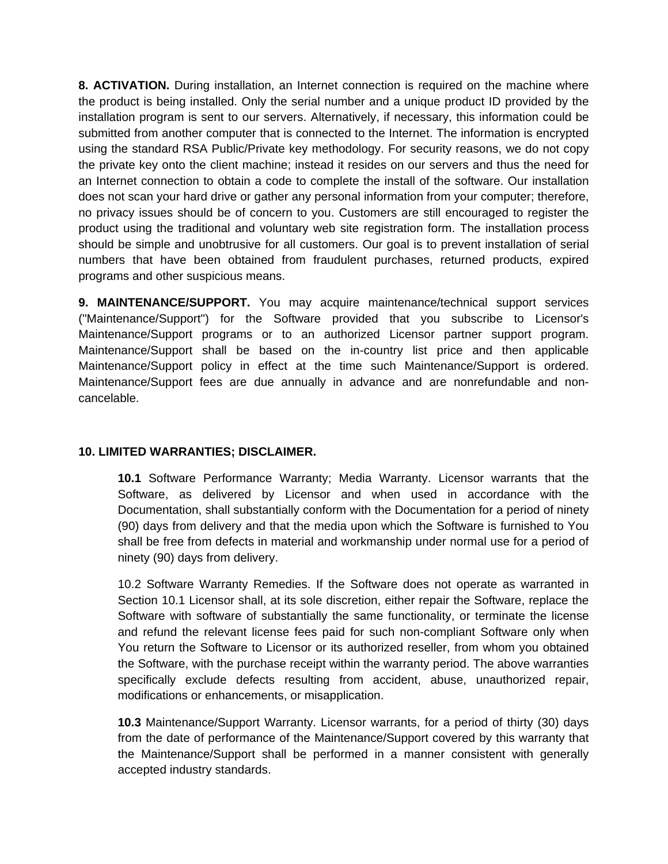**8. ACTIVATION.** During installation, an Internet connection is required on the machine where the product is being installed. Only the serial number and a unique product ID provided by the installation program is sent to our servers. Alternatively, if necessary, this information could be submitted from another computer that is connected to the Internet. The information is encrypted using the standard RSA Public/Private key methodology. For security reasons, we do not copy the private key onto the client machine; instead it resides on our servers and thus the need for an Internet connection to obtain a code to complete the install of the software. Our installation does not scan your hard drive or gather any personal information from your computer; therefore, no privacy issues should be of concern to you. Customers are still encouraged to register the product using the traditional and voluntary web site registration form. The installation process should be simple and unobtrusive for all customers. Our goal is to prevent installation of serial numbers that have been obtained from fraudulent purchases, returned products, expired programs and other suspicious means.

**9. MAINTENANCE/SUPPORT.** You may acquire maintenance/technical support services ("Maintenance/Support") for the Software provided that you subscribe to Licensor's Maintenance/Support programs or to an authorized Licensor partner support program. Maintenance/Support shall be based on the in-country list price and then applicable Maintenance/Support policy in effect at the time such Maintenance/Support is ordered. Maintenance/Support fees are due annually in advance and are nonrefundable and noncancelable.

## **10. LIMITED WARRANTIES; DISCLAIMER.**

**10.1** Software Performance Warranty; Media Warranty. Licensor warrants that the Software, as delivered by Licensor and when used in accordance with the Documentation, shall substantially conform with the Documentation for a period of ninety (90) days from delivery and that the media upon which the Software is furnished to You shall be free from defects in material and workmanship under normal use for a period of ninety (90) days from delivery.

10.2 Software Warranty Remedies. If the Software does not operate as warranted in Section 10.1 Licensor shall, at its sole discretion, either repair the Software, replace the Software with software of substantially the same functionality, or terminate the license and refund the relevant license fees paid for such non-compliant Software only when You return the Software to Licensor or its authorized reseller, from whom you obtained the Software, with the purchase receipt within the warranty period. The above warranties specifically exclude defects resulting from accident, abuse, unauthorized repair, modifications or enhancements, or misapplication.

**10.3** Maintenance/Support Warranty. Licensor warrants, for a period of thirty (30) days from the date of performance of the Maintenance/Support covered by this warranty that the Maintenance/Support shall be performed in a manner consistent with generally accepted industry standards.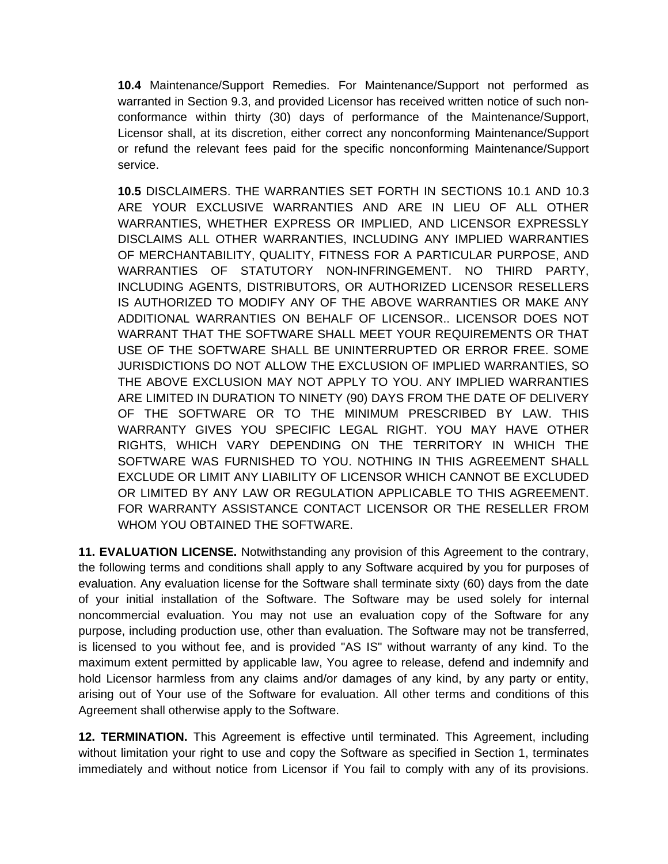**10.4** Maintenance/Support Remedies. For Maintenance/Support not performed as warranted in Section 9.3, and provided Licensor has received written notice of such nonconformance within thirty (30) days of performance of the Maintenance/Support, Licensor shall, at its discretion, either correct any nonconforming Maintenance/Support or refund the relevant fees paid for the specific nonconforming Maintenance/Support service.

**10.5** DISCLAIMERS. THE WARRANTIES SET FORTH IN SECTIONS 10.1 AND 10.3 ARE YOUR EXCLUSIVE WARRANTIES AND ARE IN LIEU OF ALL OTHER WARRANTIES, WHETHER EXPRESS OR IMPLIED, AND LICENSOR EXPRESSLY DISCLAIMS ALL OTHER WARRANTIES, INCLUDING ANY IMPLIED WARRANTIES OF MERCHANTABILITY, QUALITY, FITNESS FOR A PARTICULAR PURPOSE, AND WARRANTIES OF STATUTORY NON-INFRINGEMENT. NO THIRD PARTY, INCLUDING AGENTS, DISTRIBUTORS, OR AUTHORIZED LICENSOR RESELLERS IS AUTHORIZED TO MODIFY ANY OF THE ABOVE WARRANTIES OR MAKE ANY ADDITIONAL WARRANTIES ON BEHALF OF LICENSOR.. LICENSOR DOES NOT WARRANT THAT THE SOFTWARE SHALL MEET YOUR REQUIREMENTS OR THAT USE OF THE SOFTWARE SHALL BE UNINTERRUPTED OR ERROR FREE. SOME JURISDICTIONS DO NOT ALLOW THE EXCLUSION OF IMPLIED WARRANTIES, SO THE ABOVE EXCLUSION MAY NOT APPLY TO YOU. ANY IMPLIED WARRANTIES ARE LIMITED IN DURATION TO NINETY (90) DAYS FROM THE DATE OF DELIVERY OF THE SOFTWARE OR TO THE MINIMUM PRESCRIBED BY LAW. THIS WARRANTY GIVES YOU SPECIFIC LEGAL RIGHT. YOU MAY HAVE OTHER RIGHTS, WHICH VARY DEPENDING ON THE TERRITORY IN WHICH THE SOFTWARE WAS FURNISHED TO YOU. NOTHING IN THIS AGREEMENT SHALL EXCLUDE OR LIMIT ANY LIABILITY OF LICENSOR WHICH CANNOT BE EXCLUDED OR LIMITED BY ANY LAW OR REGULATION APPLICABLE TO THIS AGREEMENT. FOR WARRANTY ASSISTANCE CONTACT LICENSOR OR THE RESELLER FROM WHOM YOU OBTAINED THE SOFTWARE.

**11. EVALUATION LICENSE.** Notwithstanding any provision of this Agreement to the contrary, the following terms and conditions shall apply to any Software acquired by you for purposes of evaluation. Any evaluation license for the Software shall terminate sixty (60) days from the date of your initial installation of the Software. The Software may be used solely for internal noncommercial evaluation. You may not use an evaluation copy of the Software for any purpose, including production use, other than evaluation. The Software may not be transferred, is licensed to you without fee, and is provided "AS IS" without warranty of any kind. To the maximum extent permitted by applicable law, You agree to release, defend and indemnify and hold Licensor harmless from any claims and/or damages of any kind, by any party or entity, arising out of Your use of the Software for evaluation. All other terms and conditions of this Agreement shall otherwise apply to the Software.

**12. TERMINATION.** This Agreement is effective until terminated. This Agreement, including without limitation your right to use and copy the Software as specified in Section 1, terminates immediately and without notice from Licensor if You fail to comply with any of its provisions.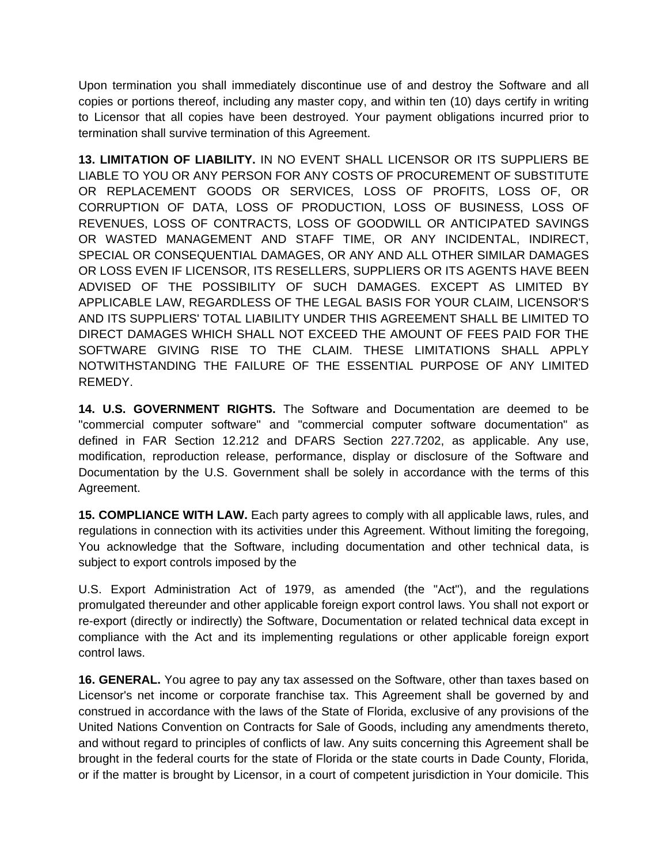Upon termination you shall immediately discontinue use of and destroy the Software and all copies or portions thereof, including any master copy, and within ten (10) days certify in writing to Licensor that all copies have been destroyed. Your payment obligations incurred prior to termination shall survive termination of this Agreement.

**13. LIMITATION OF LIABILITY.** IN NO EVENT SHALL LICENSOR OR ITS SUPPLIERS BE LIABLE TO YOU OR ANY PERSON FOR ANY COSTS OF PROCUREMENT OF SUBSTITUTE OR REPLACEMENT GOODS OR SERVICES, LOSS OF PROFITS, LOSS OF, OR CORRUPTION OF DATA, LOSS OF PRODUCTION, LOSS OF BUSINESS, LOSS OF REVENUES, LOSS OF CONTRACTS, LOSS OF GOODWILL OR ANTICIPATED SAVINGS OR WASTED MANAGEMENT AND STAFF TIME, OR ANY INCIDENTAL, INDIRECT, SPECIAL OR CONSEQUENTIAL DAMAGES, OR ANY AND ALL OTHER SIMILAR DAMAGES OR LOSS EVEN IF LICENSOR, ITS RESELLERS, SUPPLIERS OR ITS AGENTS HAVE BEEN ADVISED OF THE POSSIBILITY OF SUCH DAMAGES. EXCEPT AS LIMITED BY APPLICABLE LAW, REGARDLESS OF THE LEGAL BASIS FOR YOUR CLAIM, LICENSOR'S AND ITS SUPPLIERS' TOTAL LIABILITY UNDER THIS AGREEMENT SHALL BE LIMITED TO DIRECT DAMAGES WHICH SHALL NOT EXCEED THE AMOUNT OF FEES PAID FOR THE SOFTWARE GIVING RISE TO THE CLAIM. THESE LIMITATIONS SHALL APPLY NOTWITHSTANDING THE FAILURE OF THE ESSENTIAL PURPOSE OF ANY LIMITED REMEDY.

**14. U.S. GOVERNMENT RIGHTS.** The Software and Documentation are deemed to be "commercial computer software" and "commercial computer software documentation" as defined in FAR Section 12.212 and DFARS Section 227.7202, as applicable. Any use, modification, reproduction release, performance, display or disclosure of the Software and Documentation by the U.S. Government shall be solely in accordance with the terms of this Agreement.

**15. COMPLIANCE WITH LAW.** Each party agrees to comply with all applicable laws, rules, and regulations in connection with its activities under this Agreement. Without limiting the foregoing, You acknowledge that the Software, including documentation and other technical data, is subject to export controls imposed by the

U.S. Export Administration Act of 1979, as amended (the "Act"), and the regulations promulgated thereunder and other applicable foreign export control laws. You shall not export or re-export (directly or indirectly) the Software, Documentation or related technical data except in compliance with the Act and its implementing regulations or other applicable foreign export control laws.

**16. GENERAL.** You agree to pay any tax assessed on the Software, other than taxes based on Licensor's net income or corporate franchise tax. This Agreement shall be governed by and construed in accordance with the laws of the State of Florida, exclusive of any provisions of the United Nations Convention on Contracts for Sale of Goods, including any amendments thereto, and without regard to principles of conflicts of law. Any suits concerning this Agreement shall be brought in the federal courts for the state of Florida or the state courts in Dade County, Florida, or if the matter is brought by Licensor, in a court of competent jurisdiction in Your domicile. This